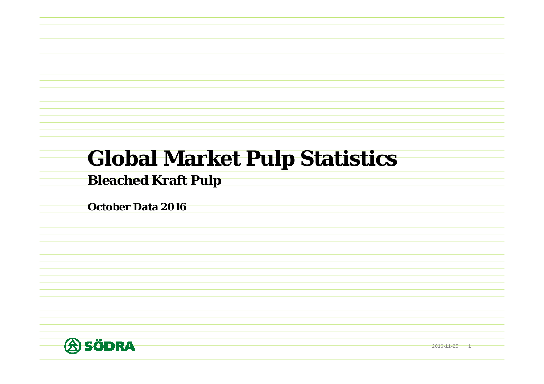# **Global Market Pulp Statistics**

## **Bleached Kraft Pulp**

**October Data 2016**



2016-11-25 1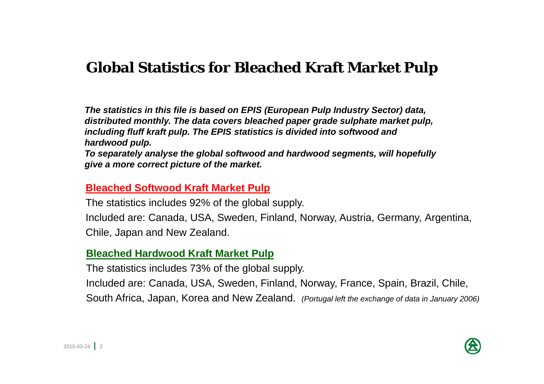# **Global Statistics for Bleached Kraft Market Pulp**

*The statistics in this file is based on EPIS (European Pulp Industry Sector) data, distributed monthly. The data covers bleached paper grade sulphate market pulp, including fluff kraft pulp. The EPIS statistics is divided into softwood and hardwood pulp.*

*To separately analyse the global softwood and hardwood segments, will hopefully give a more correct picture of the market.*

#### **Bleached Softwood Kraft Market Pulp**

The statistics includes 92% of the global supply.

Included are: Canada, USA, Sweden, Finland, Norway, Austria, Germany, Argentina, Chile, Japan and New Zealand.

#### **Bleached Hardwood Kraft Market Pulp**

The statistics includes 73% of the global supply.

Included are: Canada, USA, Sweden, Finland, Norway, France, Spain, Brazil, Chile, South Africa, Japan, Korea and New Zealand. *(Portugal left the exchange of data in January 2006)*

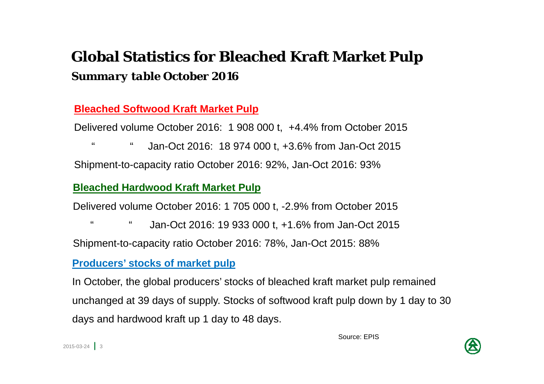# **Global Statistics for Bleached Kraft Market Pulp** *Summary table October 2016*

#### **Bleached Softwood Kraft Market Pulp**

Delivered volume October 2016: 1 908 000 t, +4.4% from October 2015

" " Jan-Oct 2016: 18 974 000 t, +3.6% from Jan-Oct 2015 Shipment-to-capacity ratio October 2016: 92%, Jan-Oct 2016: 93%

#### **Bleached Hardwood Kraft Market Pulp**

Delivered volume October 2016: 1 705 000 t, -2.9% from October 2015

" " Jan-Oct 2016: 19 933 000 t, +1.6% from Jan-Oct 2015

Shipment-to-capacity ratio October 2016: 78%, Jan-Oct 2015: 88%

#### **Producers' stocks of market pulp**

In October, the global producers' stocks of bleached kraft market pulp remained unchanged at 39 days of supply. Stocks of softwood kraft pulp down by 1 day to 30 days and hardwood kraft up 1 day to 48 days.

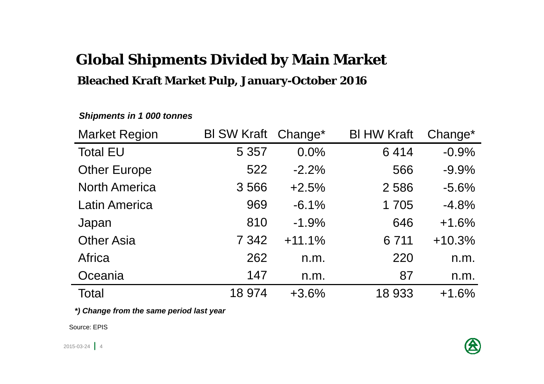# **Global Shipments Divided by Main Market**

#### **Bleached Kraft Market Pulp, January-October 2016**

| <b>Market Region</b> | BI SW Kraft Change* |          | <b>BI HW Kraft</b> | Change*  |
|----------------------|---------------------|----------|--------------------|----------|
| <b>Total EU</b>      | 5 3 5 7             | 0.0%     | 6414               | $-0.9%$  |
| <b>Other Europe</b>  | 522                 | $-2.2%$  | 566                | $-9.9%$  |
| <b>North America</b> | 3566                | $+2.5%$  | 2586               | $-5.6%$  |
| <b>Latin America</b> | 969                 | $-6.1%$  | 1705               | $-4.8%$  |
| Japan                | 810                 | $-1.9\%$ | 646                | $+1.6%$  |
| <b>Other Asia</b>    | 7 3 4 2             | $+11.1%$ | 6 7 1 1            | $+10.3%$ |
| Africa               | 262                 | n.m.     | 220                | n.m.     |
| Oceania              | 147                 | n.m.     | 87                 | n.m.     |
| Total                | 18 974              | $+3.6%$  | 18 933             | $+1.6%$  |

#### *Shipments in 1 000 tonnes*

*\*) Change from the same period last year*

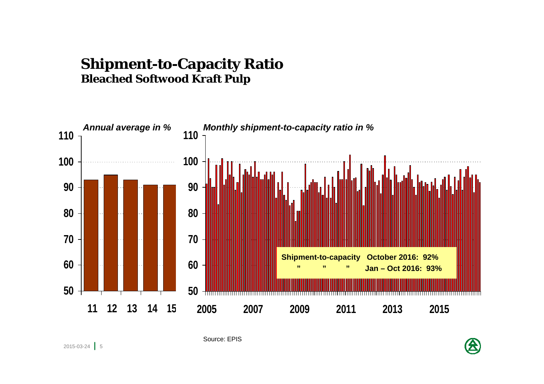#### **Shipment-to-Capacity Ratio Bleached Softwood Kraft Pulp**



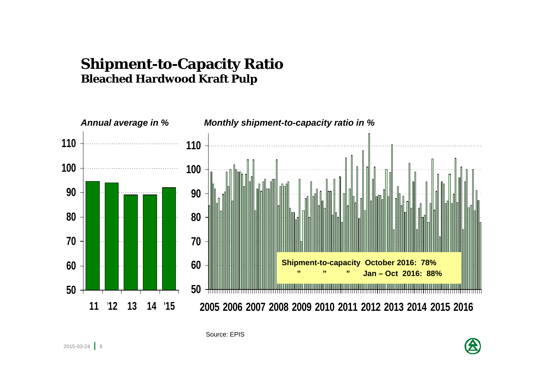#### **Shipment-to-Capacity Ratio Bleached Hardwood Kraft Pulp**

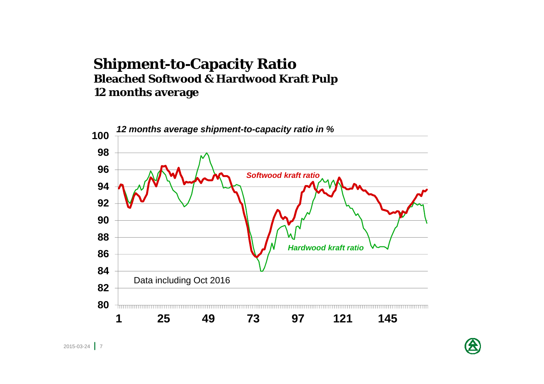#### **Shipment-to-Capacity Ratio Bleached Softwood & Hardwood Kraft Pulp 12 months average**



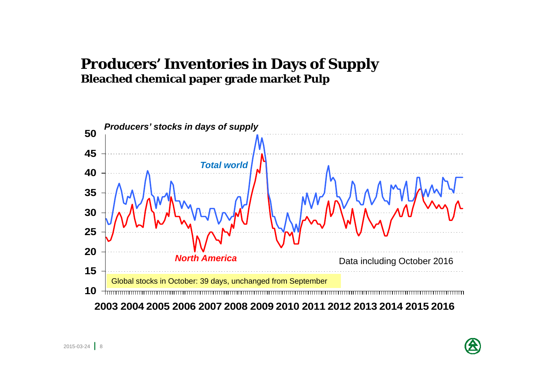## **Producers' Inventories in Days of Supply Bleached chemical paper grade market Pulp**



2003 2004 2005 2006 2007 2008 2009 2010 2011 2012 2013 2014 2015 2016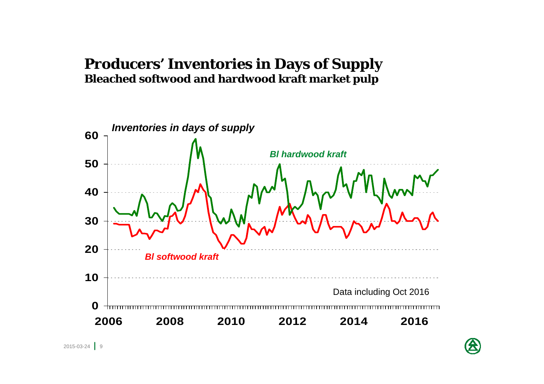## **Producers' Inventories in Days of Supply Bleached softwood and hardwood kraft market pulp**

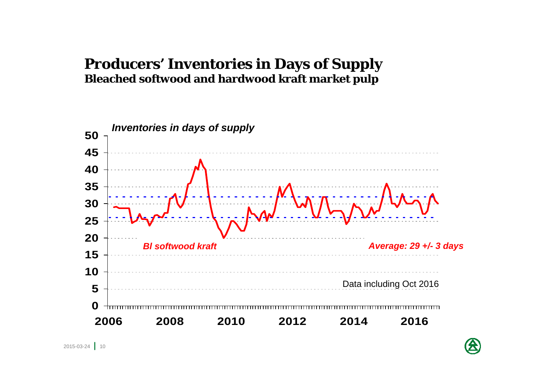## **Producers' Inventories in Days of Supply Bleached softwood and hardwood kraft market pulp**



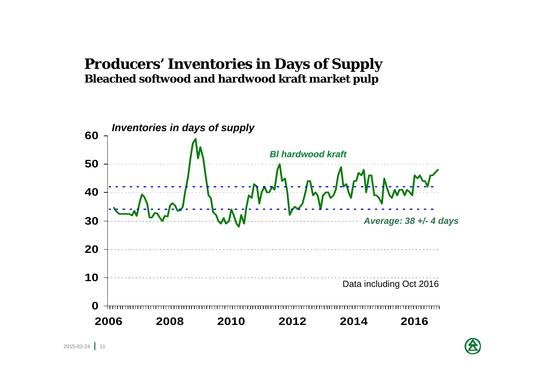## **Producers' Inventories in Days of Supply Bleached softwood and hardwood kraft market pulp**



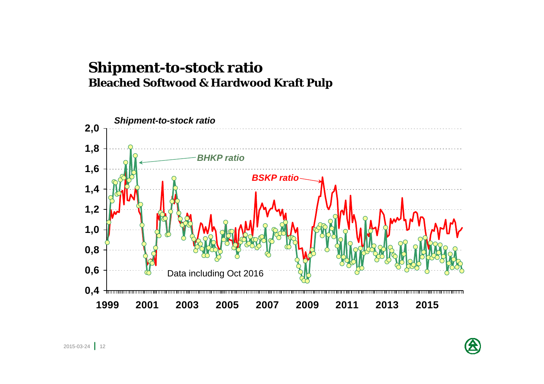#### **Shipment-to-stock ratio Bleached Softwood & Hardwood Kraft Pulp**



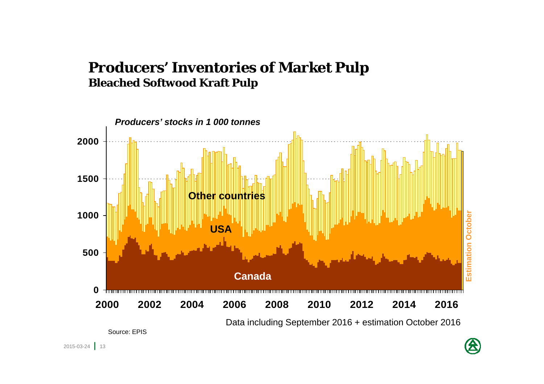## **Producers' Inventories of Market Pulp Bleached Softwood Kraft Pulp**

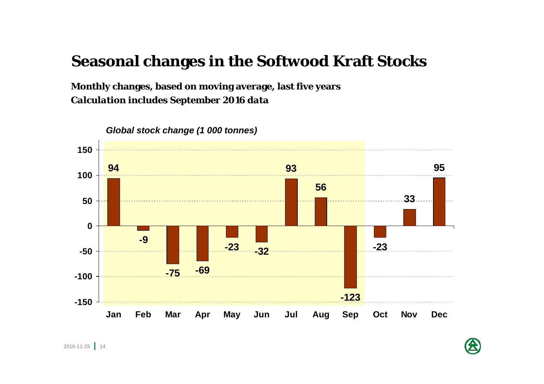# **Seasonal changes in the Softwood Kraft Stocks**

**Monthly changes, based on moving average, last five years**  *Calculation includes September 2016 data* 



*Global stock change (1 000 tonnes)*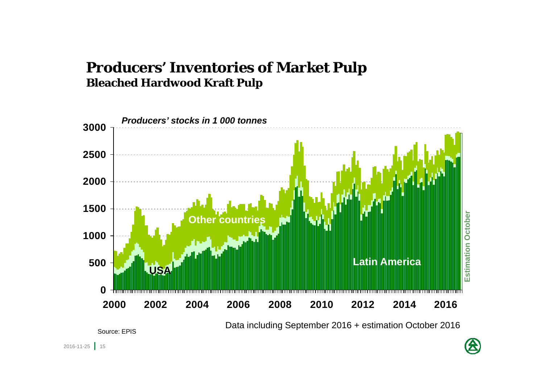## **Producers' Inventories of Market Pulp Bleached Hardwood Kraft Pulp**



Data including September 2016 + estimation October 2016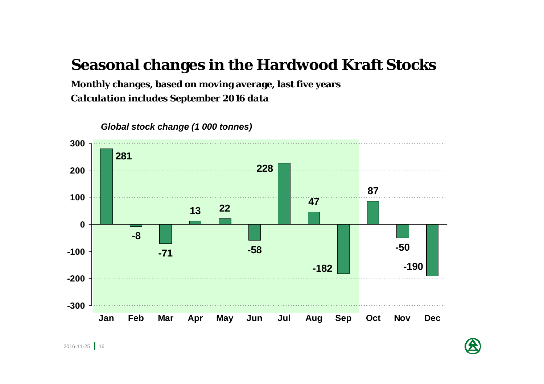# **Seasonal changes in the Hardwood Kraft Stocks**

**Monthly changes, based on moving average, last five years**  *Calculation includes September 2016 data* 



*Global stock change (1 000 tonnes)*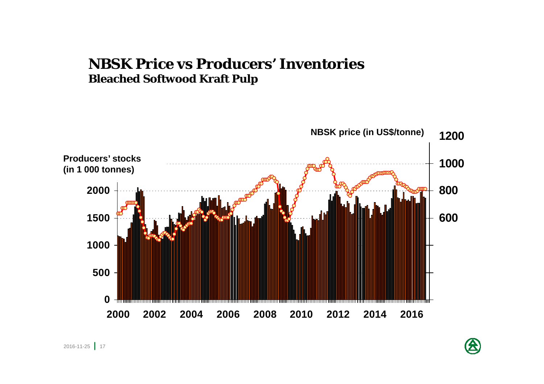#### **NBSK Price vs Producers' Inventories Bleached Softwood Kraft Pulp**

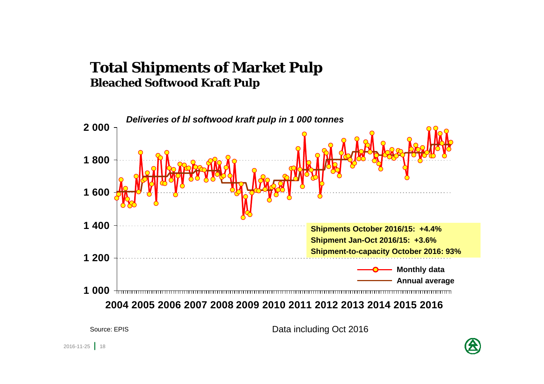## **Total Shipments of Market Pulp Bleached Softwood Kraft Pulp**



Data including Oct 2016

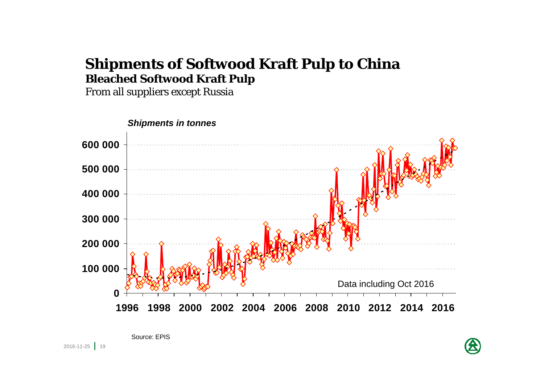## **Shipments of Softwood Kraft Pulp to China Bleached Softwood Kraft Pulp**

From all suppliers except Russia

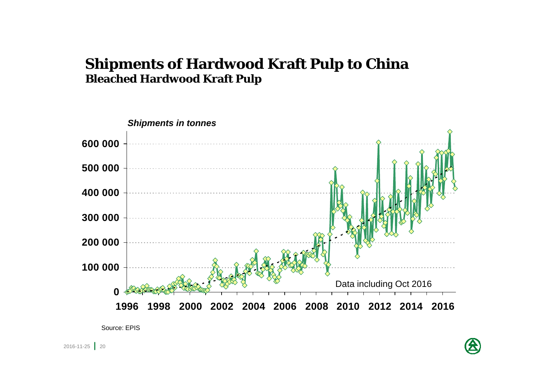## **Shipments of Hardwood Kraft Pulp to China Bleached Hardwood Kraft Pulp**



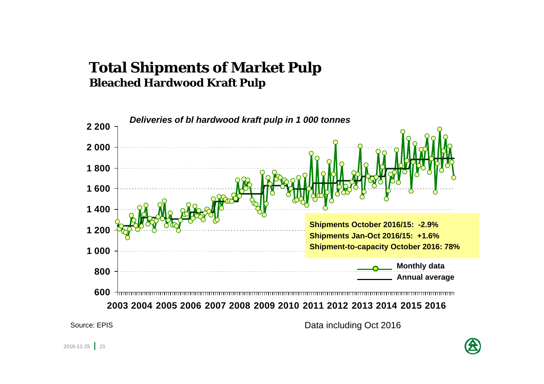## **Total Shipments of Market Pulp Bleached Hardwood Kraft Pulp**



Source: EPIS

Data including Oct 2016

2016-11-25 21

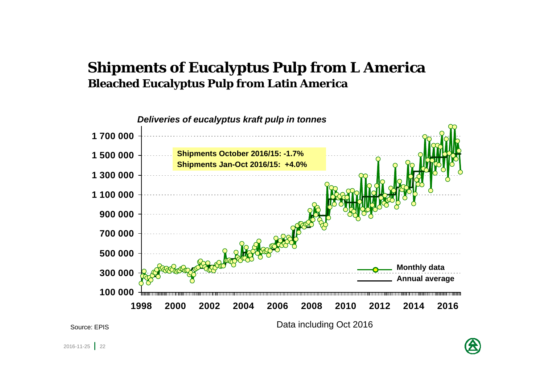## **Shipments of Eucalyptus Pulp from L America Bleached Eucalyptus Pulp from Latin America**



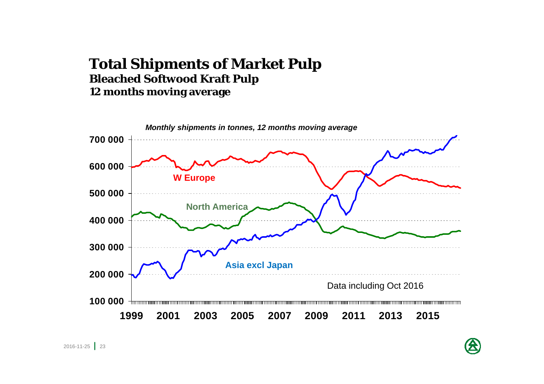#### **Total Shipments of Market Pulp Bleached Softwood Kraft Pulp 12 months moving average**

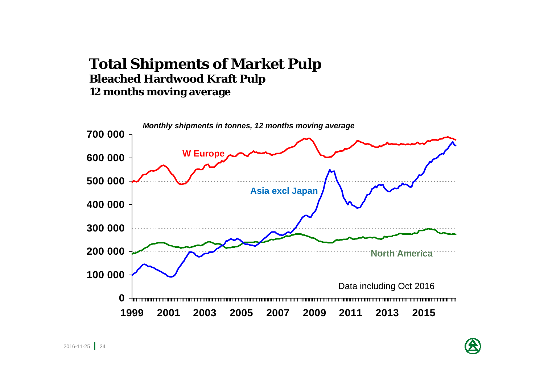#### **Total Shipments of Market Pulp Bleached Hardwood Kraft Pulp 12 months moving average**